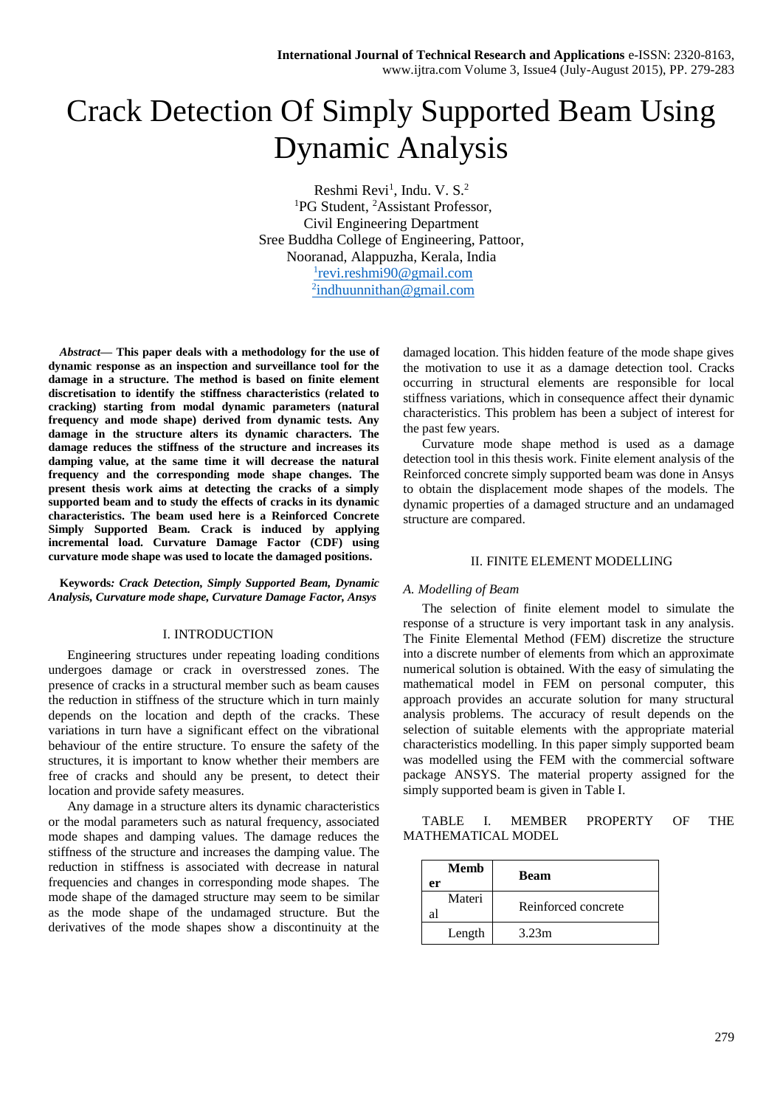# Crack Detection Of Simply Supported Beam Using Dynamic Analysis

Reshmi Revi<sup>1</sup>, Indu. V. S.<sup>2</sup> <sup>1</sup>PG Student, <sup>2</sup>Assistant Professor, Civil Engineering Department Sree Buddha College of Engineering, Pattoor, Nooranad, Alappuzha, Kerala, India 1 [revi.reshmi90@gmail.com](mailto:1revi.reshmi90@gmail.com) <sup>2</sup>[indhuunnithan@gmail.com](mailto:2indhuunnithan@gmail.com)

*Abstract***— This paper deals with a methodology for the use of dynamic response as an inspection and surveillance tool for the damage in a structure. The method is based on finite element discretisation to identify the stiffness characteristics (related to cracking) starting from modal dynamic parameters (natural frequency and mode shape) derived from dynamic tests. Any damage in the structure alters its dynamic characters. The damage reduces the stiffness of the structure and increases its damping value, at the same time it will decrease the natural frequency and the corresponding mode shape changes. The present thesis work aims at detecting the cracks of a simply supported beam and to study the effects of cracks in its dynamic characteristics. The beam used here is a Reinforced Concrete Simply Supported Beam. Crack is induced by applying incremental load. Curvature Damage Factor (CDF) using curvature mode shape was used to locate the damaged positions.**

**Keywords***: Crack Detection, Simply Supported Beam, Dynamic Analysis, Curvature mode shape, Curvature Damage Factor, Ansys*

#### I. INTRODUCTION

Engineering structures under repeating loading conditions undergoes damage or crack in overstressed zones. The presence of cracks in a structural member such as beam causes the reduction in stiffness of the structure which in turn mainly depends on the location and depth of the cracks. These variations in turn have a significant effect on the vibrational behaviour of the entire structure. To ensure the safety of the structures, it is important to know whether their members are free of cracks and should any be present, to detect their location and provide safety measures.

Any damage in a structure alters its dynamic characteristics or the modal parameters such as natural frequency, associated mode shapes and damping values. The damage reduces the stiffness of the structure and increases the damping value. The reduction in stiffness is associated with decrease in natural frequencies and changes in corresponding mode shapes. The mode shape of the damaged structure may seem to be similar as the mode shape of the undamaged structure. But the derivatives of the mode shapes show a discontinuity at the damaged location. This hidden feature of the mode shape gives the motivation to use it as a damage detection tool. Cracks occurring in structural elements are responsible for local stiffness variations, which in consequence affect their dynamic characteristics. This problem has been a subject of interest for the past few years.

Curvature mode shape method is used as a damage detection tool in this thesis work. Finite element analysis of the Reinforced concrete simply supported beam was done in Ansys to obtain the displacement mode shapes of the models. The dynamic properties of a damaged structure and an undamaged structure are compared.

## II. FINITE ELEMENT MODELLING

#### *A. Modelling of Beam*

The selection of finite element model to simulate the response of a structure is very important task in any analysis. The Finite Elemental Method (FEM) discretize the structure into a discrete number of elements from which an approximate numerical solution is obtained. With the easy of simulating the mathematical model in FEM on personal computer, this approach provides an accurate solution for many structural analysis problems. The accuracy of result depends on the selection of suitable elements with the appropriate material characteristics modelling. In this paper simply supported beam was modelled using the FEM with the commercial software package ANSYS. The material property assigned for the simply supported beam is given in Table I.

TABLE I. MEMBER PROPERTY OF THE MATHEMATICAL MODEL

| <b>Memb</b><br>er | <b>Beam</b>         |
|-------------------|---------------------|
| Materi            | Reinforced concrete |
| Length            | 3.23m               |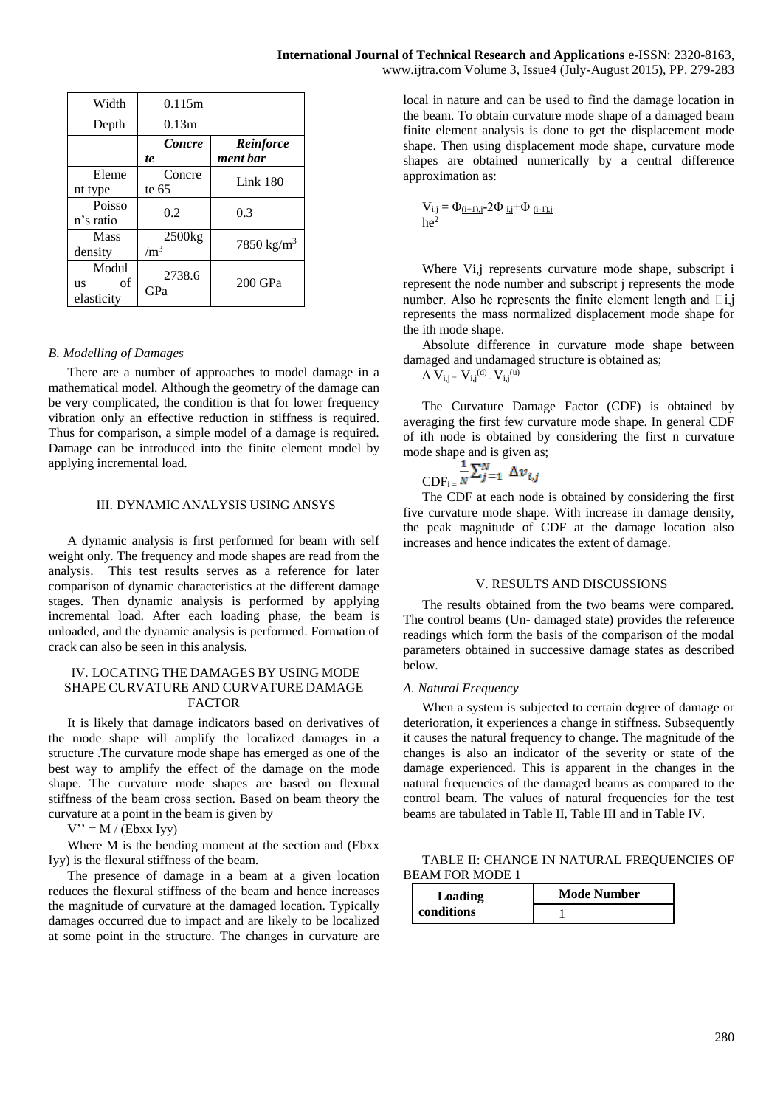| 0.115m             |                        |
|--------------------|------------------------|
| 0.13m              |                        |
| Concre             | Reinforce              |
| te                 | ment bar               |
| Concre             | Link $180$             |
| te 65              |                        |
|                    | 0.3                    |
|                    |                        |
| 2500 <sub>kg</sub> | 7850 kg/m <sup>3</sup> |
| $\rm /m^3$         |                        |
| 2738.6<br>GPa      | $200$ GPa              |
|                    | 0.2                    |

# *B. Modelling of Damages*

There are a number of approaches to model damage in a mathematical model. Although the geometry of the damage can be very complicated, the condition is that for lower frequency vibration only an effective reduction in stiffness is required. Thus for comparison, a simple model of a damage is required. Damage can be introduced into the finite element model by applying incremental load.

## III. DYNAMIC ANALYSIS USING ANSYS

A dynamic analysis is first performed for beam with self weight only. The frequency and mode shapes are read from the analysis. This test results serves as a reference for later comparison of dynamic characteristics at the different damage stages. Then dynamic analysis is performed by applying incremental load. After each loading phase, the beam is unloaded, and the dynamic analysis is performed. Formation of crack can also be seen in this analysis.

# IV. LOCATING THE DAMAGES BY USING MODE SHAPE CURVATURE AND CURVATURE DAMAGE FACTOR

It is likely that damage indicators based on derivatives of the mode shape will amplify the localized damages in a structure .The curvature mode shape has emerged as one of the best way to amplify the effect of the damage on the mode shape. The curvature mode shapes are based on flexural stiffness of the beam cross section. Based on beam theory the curvature at a point in the beam is given by

 $V'' = M / (Ebxx Iyy)$ 

Where M is the bending moment at the section and (Ebxx Iyy) is the flexural stiffness of the beam.

The presence of damage in a beam at a given location reduces the flexural stiffness of the beam and hence increases the magnitude of curvature at the damaged location. Typically damages occurred due to impact and are likely to be localized at some point in the structure. The changes in curvature are local in nature and can be used to find the damage location in the beam. To obtain curvature mode shape of a damaged beam finite element analysis is done to get the displacement mode shape. Then using displacement mode shape, curvature mode shapes are obtained numerically by a central difference approximation as:

$$
V_{i,j}=\underline{\Phi_{(i+1),j-}2\Phi_{i,j}+\Phi_{(i-1),j}}{he^2}
$$

Where Vi, i represents curvature mode shape, subscript i represent the node number and subscript j represents the mode number. Also he represents the finite element length and  $\Box i, j$ represents the mass normalized displacement mode shape for the ith mode shape.

Absolute difference in curvature mode shape between damaged and undamaged structure is obtained as;

 $\Delta V_{i,j} = V_{i,j}^{(d)} - V_{i,j}^{(u)}$ 

The Curvature Damage Factor (CDF) is obtained by averaging the first few curvature mode shape. In general CDF of ith node is obtained by considering the first n curvature mode shape and is given as;

$$
\overline{\text{CDF}}_{i} = \frac{1}{N} \sum_{j=1}^{N} \Delta v_{i,j}
$$

The CDF at each node is obtained by considering the first five curvature mode shape. With increase in damage density, the peak magnitude of CDF at the damage location also increases and hence indicates the extent of damage.

#### V. RESULTS AND DISCUSSIONS

The results obtained from the two beams were compared. The control beams (Un- damaged state) provides the reference readings which form the basis of the comparison of the modal parameters obtained in successive damage states as described below.

#### *A. Natural Frequency*

When a system is subjected to certain degree of damage or deterioration, it experiences a change in stiffness. Subsequently it causes the natural frequency to change. The magnitude of the changes is also an indicator of the severity or state of the damage experienced. This is apparent in the changes in the natural frequencies of the damaged beams as compared to the control beam. The values of natural frequencies for the test beams are tabulated in Table II, Table III and in Table IV.

TABLE II: CHANGE IN NATURAL FREQUENCIES OF BEAM FOR MODE 1

| Loading    | <b>Mode Number</b> |  |
|------------|--------------------|--|
| conditions |                    |  |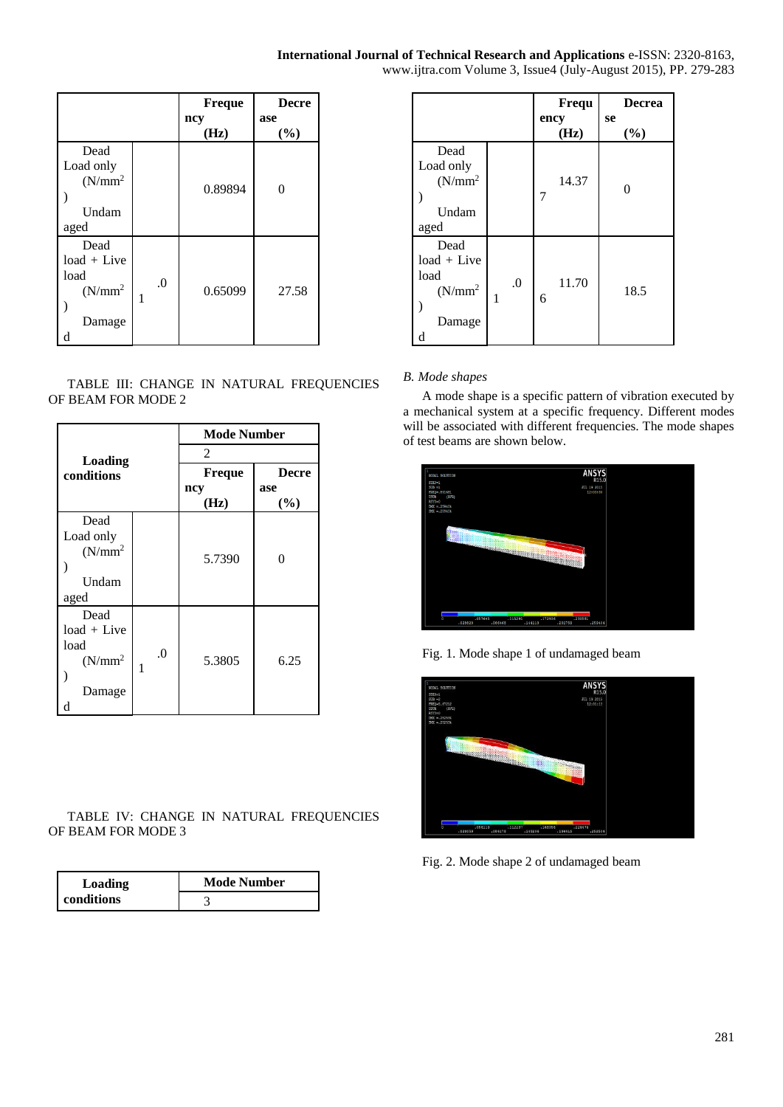# **International Journal of Technical Research and Applications** e-ISSN: 2320-8163,

|  | www.ijtra.com Volume 3, Issue4 (July-August 2015), PP. 279-283 |
|--|----------------------------------------------------------------|
|--|----------------------------------------------------------------|

|                                                            |         | <b>Freque</b><br>ncy<br>(Hz) | <b>Decre</b><br>ase<br>(%) |
|------------------------------------------------------------|---------|------------------------------|----------------------------|
| Dead<br>Load only<br>$(N/mm^2)$<br>Undam<br>aged           |         | 0.89894                      | $\theta$                   |
| Dead<br>$load + Live$<br>load<br>$(N/mm^2)$<br>Damage<br>d | $\cdot$ | 0.65099                      | 27.58                      |

TABLE III: CHANGE IN NATURAL FREQUENCIES OF BEAM FOR MODE 2

| Loading<br>conditions |          | <b>Mode Number</b> |       |
|-----------------------|----------|--------------------|-------|
|                       |          | 2                  |       |
|                       |          | <b>Freque</b>      | Decre |
|                       |          | ncy                | ase   |
|                       |          | (Hz)               | (%)   |
| Dead                  |          |                    |       |
| Load only             |          |                    |       |
| $(N/mm^2)$            |          | 5.7390             | 0     |
|                       |          |                    |       |
| Undam                 |          |                    |       |
| aged                  |          |                    |       |
| Dead                  |          |                    |       |
| load + Live           |          |                    |       |
| load                  | $\Omega$ |                    |       |
| $(N/mm^2)$            | 1        | 5.3805             | 6.25  |
|                       |          |                    |       |
| Damage                |          |                    |       |
| d                     |          |                    |       |

TABLE IV: CHANGE IN NATURAL FREQUENCIES OF BEAM FOR MODE 3

| Loading<br>conditions | <b>Mode Number</b> |  |
|-----------------------|--------------------|--|
|                       |                    |  |

|                                                                      |              | Frequ        | <b>Decrea</b> |
|----------------------------------------------------------------------|--------------|--------------|---------------|
|                                                                      |              | ency<br>(Hz) | se<br>$(\%)$  |
| Dead<br>Load only<br>$(N/mm^2)$<br>Undam<br>aged                     |              | 14.37<br>7   | $\theta$      |
| Dead<br>$load + Live$<br>load<br>(N/mm <sup>2</sup> )<br>Damage<br>d | $\cdot$<br>1 | 11.70<br>6   | 18.5          |

# *B. Mode shapes*

A mode shape is a specific pattern of vibration executed by a mechanical system at a specific frequency. Different modes will be associated with different frequencies. The mode shapes of test beams are shown below.



Fig. 1. Mode shape 1 of undamaged beam



Fig. 2. Mode shape 2 of undamaged beam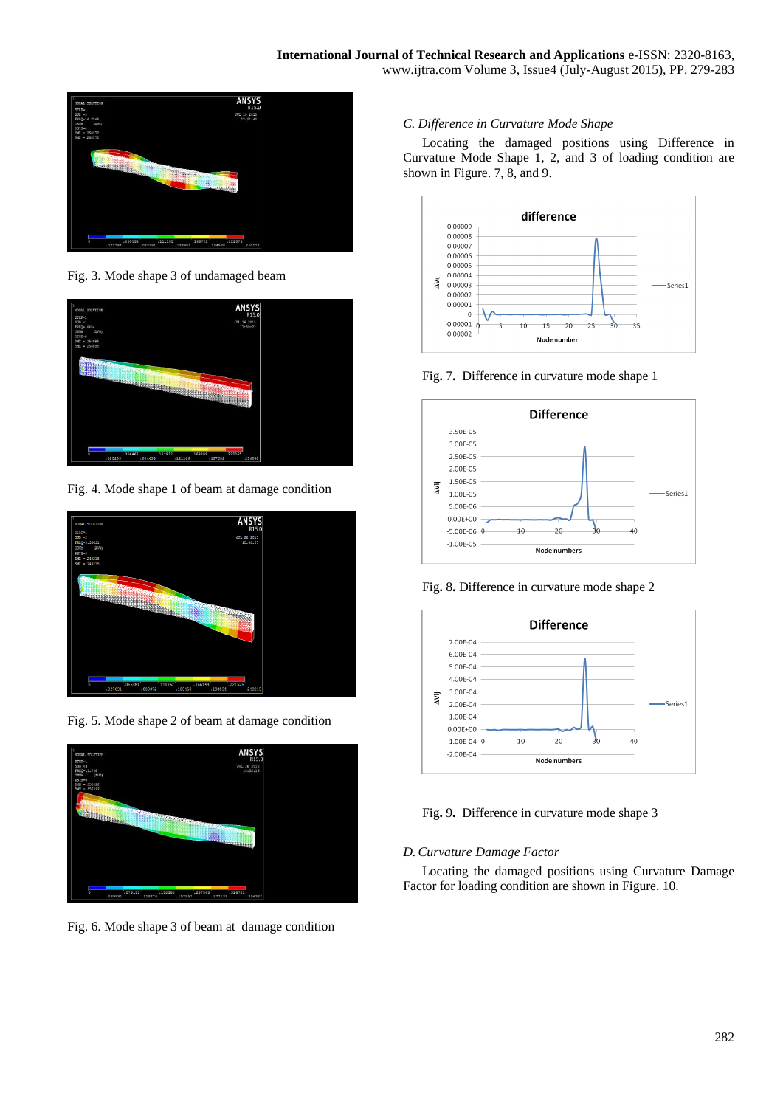

Fig. 3. Mode shape 3 of undamaged beam



Fig. 4. Mode shape 1 of beam at damage condition



Fig. 5. Mode shape 2 of beam at damage condition



Fig. 6. Mode shape 3 of beam at damage condition

# *C. Difference in Curvature Mode Shape*

Locating the damaged positions using Difference in Curvature Mode Shape 1, 2, and 3 of loading condition are shown in Figure. 7, 8, and 9.



Fig**.** 7**.** Difference in curvature mode shape 1



Fig**.** 8**.** Difference in curvature mode shape 2



Fig**.** 9**.** Difference in curvature mode shape 3

# *D. Curvature Damage Factor*

Locating the damaged positions using Curvature Damage Factor for loading condition are shown in Figure. 10.